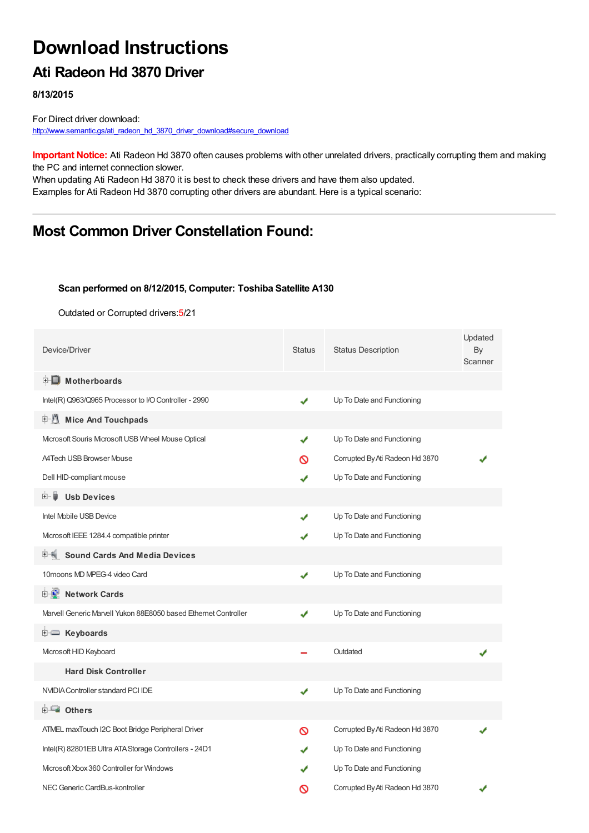# **Download Instructions**

## **Ati Radeon Hd 3870 Driver**

**8/13/2015**

For Direct driver download: [http://www.semantic.gs/ati\\_radeon\\_hd\\_3870\\_driver\\_download#secure\\_download](http://www.semantic.gs/ati_radeon_hd_3870_driver_download#secure_download)

**Important Notice:** Ati Radeon Hd 3870 often causes problems with other unrelated drivers, practically corrupting them and making the PC and internet connection slower.

When updating Ati Radeon Hd 3870 it is best to check these drivers and have them also updated. Examples for Ati Radeon Hd 3870 corrupting other drivers are abundant. Here is a typical scenario:

## **Most Common Driver Constellation Found:**

#### **Scan performed on 8/12/2015, Computer: Toshiba Satellite A130**

Outdated or Corrupted drivers:5/21

| Device/Driver                                                   | <b>Status</b> | <b>Status Description</b>       | Updated<br>By<br>Scanner |
|-----------------------------------------------------------------|---------------|---------------------------------|--------------------------|
| <b>E</b> Motherboards                                           |               |                                 |                          |
| Intel(R) Q963/Q965 Processor to I/O Controller - 2990           | ✔             | Up To Date and Functioning      |                          |
| <b>Mice And Touchpads</b><br>甲基                                 |               |                                 |                          |
| Microsoft Souris Microsoft USB Wheel Mouse Optical              | ✔             | Up To Date and Functioning      |                          |
| <b>A4Tech USB Browser Mouse</b>                                 | ര             | Corrupted By Ati Radeon Hd 3870 |                          |
| Dell HID-compliant mouse                                        | ✔             | Up To Date and Functioning      |                          |
| <b>Usb Devices</b><br>⊞… ■                                      |               |                                 |                          |
| Intel Mobile USB Device                                         |               | Up To Date and Functioning      |                          |
| Microsoft IEEE 1284.4 compatible printer                        |               | Up To Date and Functioning      |                          |
| <b>Sound Cards And Media Devices</b>                            |               |                                 |                          |
| 10 moons MD MPEG-4 video Card                                   | ✔             | Up To Date and Functioning      |                          |
| <b>Network Cards</b><br><b>E-D</b>                              |               |                                 |                          |
| Marvell Generic Marvell Yukon 88E8050 based Ethernet Controller | ✔             | Up To Date and Functioning      |                          |
| E Keyboards                                                     |               |                                 |                          |
| Microsoft HID Keyboard                                          |               | Outdated                        |                          |
| <b>Hard Disk Controller</b>                                     |               |                                 |                          |
| NVIDIA Controller standard PCI IDE                              | ✔             | Up To Date and Functioning      |                          |
| <b>E</b> Others                                                 |               |                                 |                          |
| ATMEL maxTouch I2C Boot Bridge Peripheral Driver                | ര             | Corrupted By Ati Radeon Hd 3870 |                          |
| Intel(R) 82801EB Ultra ATA Storage Controllers - 24D1           |               | Up To Date and Functioning      |                          |
| Microsoft Xbox 360 Controller for Windows                       |               | Up To Date and Functioning      |                          |
| NEC Generic CardBus-kontroller                                  | ര             | Corrupted By Ati Radeon Hd 3870 |                          |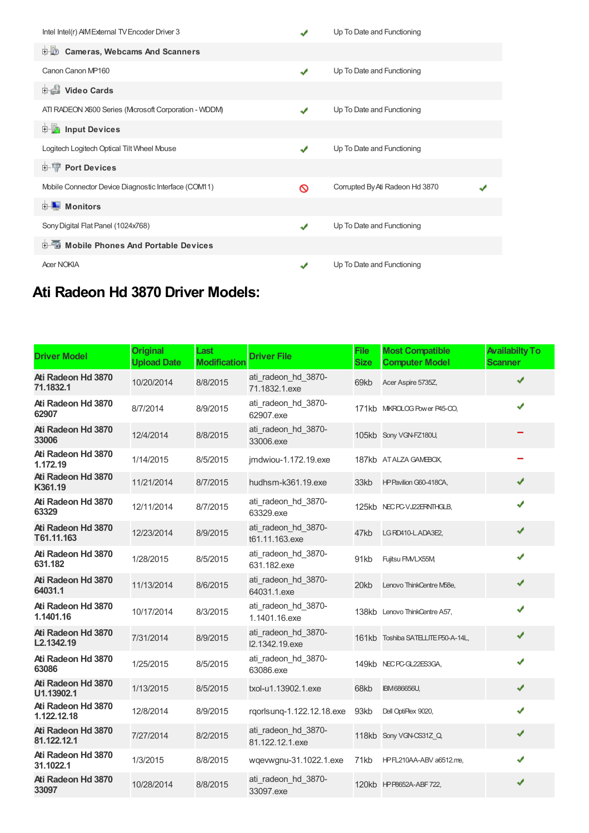| Intel Intel(r) AIM External TV Encoder Driver 3       |   | Up To Date and Functioning      |  |
|-------------------------------------------------------|---|---------------------------------|--|
| Cameras, Webcams And Scanners                         |   |                                 |  |
| Canon Canon MP160                                     | J | Up To Date and Functioning      |  |
| <b>Dideo Cards</b>                                    |   |                                 |  |
| ATI RADEON X600 Series (Microsoft Corporation - WDDM) | ✔ | Up To Date and Functioning      |  |
| <b>E</b> Input Devices                                |   |                                 |  |
| Logitech Logitech Optical Tilt Wheel Mouse            | ✔ | Up To Date and Functioning      |  |
| <b>E-19 Port Devices</b>                              |   |                                 |  |
| Mobile Connector Device Diagnostic Interface (COM11)  | ⊚ | Corrupted By Ati Radeon Hd 3870 |  |
| $\blacksquare$ Monitors<br>$\boxed{+}$                |   |                                 |  |
| Sony Digital Flat Panel (1024x768)                    | J | Up To Date and Functioning      |  |
| <b>E-</b> Mobile Phones And Portable Devices          |   |                                 |  |
| <b>Acer NOKIA</b>                                     |   | Up To Date and Functioning      |  |

## **Ati Radeon Hd 3870 Driver Models:**

| <b>Driver Model</b>               | <b>Original</b><br><b>Upload Date</b> | Last<br><b>Modification</b> | <b>Driver File</b>                     | <b>File</b><br><b>Size</b> | <b>Most Compatible</b><br><b>Computer Model</b> | <b>Availabilty To</b><br><b>Scanner</b> |
|-----------------------------------|---------------------------------------|-----------------------------|----------------------------------------|----------------------------|-------------------------------------------------|-----------------------------------------|
| Ati Radeon Hd 3870<br>71.1832.1   | 10/20/2014                            | 8/8/2015                    | ati radeon hd 3870-<br>71.1832.1.exe   | 69kb                       | Acer Aspire 5735Z,                              |                                         |
| Ati Radeon Hd 3870<br>62907       | 8/7/2014                              | 8/9/2015                    | ati radeon hd 3870-<br>62907.exe       |                            | 171kb MKROLOG Power P45-CO,                     | ✔                                       |
| Ati Radeon Hd 3870<br>33006       | 12/4/2014                             | 8/8/2015                    | ati radeon hd 3870-<br>33006.exe       |                            | 105kb Sony VGN-FZ180U,                          |                                         |
| Ati Radeon Hd 3870<br>1.172.19    | 1/14/2015                             | 8/5/2015                    | jmdwiou-1.172.19.exe                   |                            | 187kb ATALZA GAMEBOX,                           |                                         |
| Ati Radeon Hd 3870<br>K361.19     | 11/21/2014                            | 8/7/2015                    | hudhsm-k361.19.exe                     | 33kb                       | HP Pavilion G60-418CA,                          | ✔                                       |
| Ati Radeon Hd 3870<br>63329       | 12/11/2014                            | 8/7/2015                    | ati radeon hd 3870-<br>63329.exe       |                            | 125kb NECPC-VJ22ERNTHGLB,                       | ✔                                       |
| Ati Radeon Hd 3870<br>T61.11.163  | 12/23/2014                            | 8/9/2015                    | ati radeon hd 3870-<br>t61.11.163.exe  | 47kb                       | LG RD410-L.ADA3E2,                              | ✔                                       |
| Ati Radeon Hd 3870<br>631.182     | 1/28/2015                             | 8/5/2015                    | ati radeon_hd_3870-<br>631.182.exe     | 91kb                       | Fujitsu FMVLX55M                                | ✔                                       |
| Ati Radeon Hd 3870<br>64031.1     | 11/13/2014                            | 8/6/2015                    | ati radeon hd 3870-<br>64031.1.exe     | 20kb                       | Lenovo ThinkCentre M58e,                        | ✔                                       |
| Ati Radeon Hd 3870<br>1.1401.16   | 10/17/2014                            | 8/3/2015                    | ati radeon hd 3870-<br>1.1401.16.exe   |                            | 138kb Lenovo ThinkCentre A57,                   | J                                       |
| Ati Radeon Hd 3870<br>L2.1342.19  | 7/31/2014                             | 8/9/2015                    | ati radeon hd 3870-<br>I2.1342.19.exe  |                            | 161kb Toshiba SATELLITE P50-A-14L,              | ✔                                       |
| Ati Radeon Hd 3870<br>63086       | 1/25/2015                             | 8/5/2015                    | ati radeon hd 3870-<br>63086.exe       |                            | 149kb NEC PC-GL22ES3GA,                         | ✔                                       |
| Ati Radeon Hd 3870<br>U1.13902.1  | 1/13/2015                             | 8/5/2015                    | txol-u1.13902.1.exe                    | 68kb                       | <b>IBM686656U,</b>                              | ✔                                       |
| Ati Radeon Hd 3870<br>1.122.12.18 | 12/8/2014                             | 8/9/2015                    | rqorlsunq-1.122.12.18.exe              | 93kb                       | Dell OptiPlex 9020,                             | ✔                                       |
| Ati Radeon Hd 3870<br>81.122.12.1 | 7/27/2014                             | 8/2/2015                    | ati_radeon_hd_3870-<br>81.122.12.1.exe |                            | 118kb Sony VGN-CS31Z_Q,                         | ✔                                       |
| Ati Radeon Hd 3870<br>31.1022.1   | 1/3/2015                              | 8/8/2015                    | wqevwgnu-31.1022.1.exe                 | 71kb                       | HPFL210AA-ABV a6512.me,                         | ✔                                       |
| Ati Radeon Hd 3870<br>33097       | 10/28/2014                            | 8/8/2015                    | ati radeon hd 3870-<br>33097.exe       |                            | 120kb HPP8652A-ABF722,                          | ✔                                       |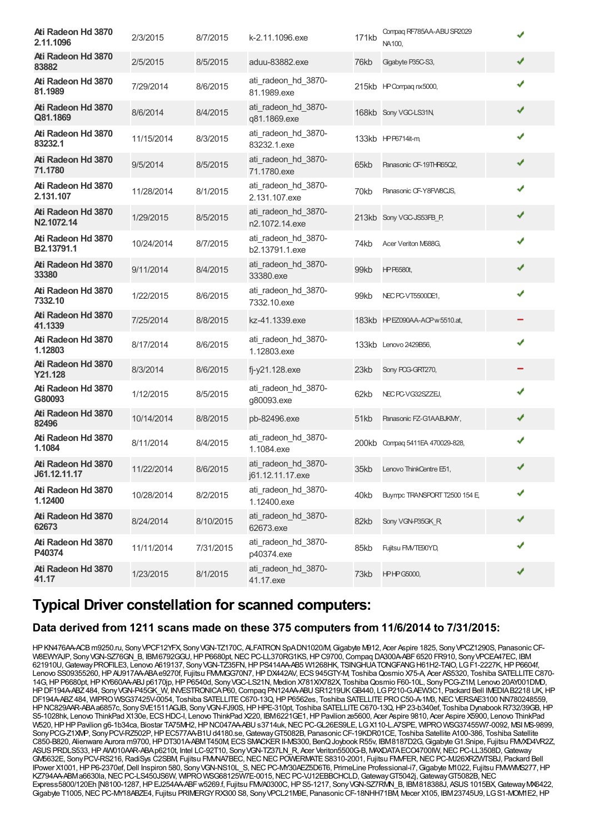| 2/3/2015   | 8/7/2015  | k-2.11.1096.exe                         | 171kb | Compag RF785AA-ABU SR2029<br>NA100. |                                                                                                                                                                                                                                            |
|------------|-----------|-----------------------------------------|-------|-------------------------------------|--------------------------------------------------------------------------------------------------------------------------------------------------------------------------------------------------------------------------------------------|
| 2/5/2015   | 8/5/2015  | aduu-83882.exe                          | 76kb  | Gigabyte P35C-S3,                   | ✔                                                                                                                                                                                                                                          |
| 7/29/2014  | 8/6/2015  | ati_radeon_hd_3870-<br>81.1989.exe      |       |                                     | ✔                                                                                                                                                                                                                                          |
| 8/6/2014   | 8/4/2015  | ati_radeon_hd_3870-<br>q81.1869.exe     |       |                                     | ✔                                                                                                                                                                                                                                          |
| 11/15/2014 | 8/3/2015  | ati_radeon_hd_3870-<br>83232.1.exe      |       |                                     | ✔                                                                                                                                                                                                                                          |
| 9/5/2014   | 8/5/2015  | ati_radeon_hd_3870-<br>71.1780.exe      | 65kb  | Panasonic CF-19THR65Q2,             | ✔                                                                                                                                                                                                                                          |
| 11/28/2014 | 8/1/2015  | ati_radeon_hd_3870-<br>2.131.107.exe    | 70kb  | Panasonic CF-Y8FW8CJS,              | ✔                                                                                                                                                                                                                                          |
| 1/29/2015  | 8/5/2015  | ati_radeon_hd_3870-<br>n2.1072.14.exe   |       |                                     | ✔                                                                                                                                                                                                                                          |
| 10/24/2014 | 8/7/2015  | ati_radeon_hd_3870-<br>b2.13791.1.exe   | 74kb  | Acer Veriton M688G.                 | ✔                                                                                                                                                                                                                                          |
| 9/11/2014  | 8/4/2015  | ati_radeon_hd_3870-<br>33380.exe        | 99kb  | HP P6580t,                          | ✔                                                                                                                                                                                                                                          |
| 1/22/2015  | 8/6/2015  | ati_radeon_hd_3870-<br>7332.10.exe      | 99kb  | NEC PC-VT5500DE1,                   | ✔                                                                                                                                                                                                                                          |
| 7/25/2014  | 8/8/2015  | kz-41.1339.exe                          |       |                                     |                                                                                                                                                                                                                                            |
| 8/17/2014  | 8/6/2015  | ati_radeon_hd_3870-<br>1.12803.exe      |       |                                     |                                                                                                                                                                                                                                            |
| 8/3/2014   | 8/6/2015  | fj-y21.128.exe                          | 23kb  | Sony POG-GRT270,                    |                                                                                                                                                                                                                                            |
| 1/12/2015  | 8/5/2015  | ati_radeon_hd_3870-<br>g80093.exe       | 62kb  | NEC PC-VG32SZZEJ,                   | ✔                                                                                                                                                                                                                                          |
| 10/14/2014 | 8/8/2015  | pb-82496.exe                            | 51kb  | Panasonic FZ-G1AABJKMY,             | ✔                                                                                                                                                                                                                                          |
| 8/11/2014  | 8/4/2015  | ati_radeon_hd_3870-<br>1.1084.exe       |       |                                     | ✔                                                                                                                                                                                                                                          |
| 11/22/2014 | 8/6/2015  | ati_radeon_hd_3870-<br>j61.12.11.17.exe |       |                                     |                                                                                                                                                                                                                                            |
| 10/28/2014 | 8/2/2015  | ati_radeon_hd_3870-<br>1.12400.exe      | 40kb  | Buympc TRANSPORT T2500 154 E        | ✔                                                                                                                                                                                                                                          |
| 8/24/2014  | 8/10/2015 | ati_radeon_hd_3870-<br>62673.exe        | 82kb  | Sony VGN-P35GK R                    | ✔                                                                                                                                                                                                                                          |
| 11/11/2014 | 7/31/2015 | ati_radeon_hd_3870-<br>p40374.exe       | 85kb  | Fujitsu FMVTE90YD,                  |                                                                                                                                                                                                                                            |
| 1/23/2015  | 8/1/2015  | ati_radeon_hd_3870-<br>41.17.exe        | 73kb  |                                     |                                                                                                                                                                                                                                            |
|            |           |                                         |       |                                     | 215kb HP Compag nx5000,<br>168kb Sony VGC-LS31N,<br>133kb HPP6714it-m<br>213kb Sony VGC-JS53FB P,<br>183kb HPEZ090AA-ACPw5510.at,<br>133kb Lenovo 2429B56,<br>200kb Compaq 5411EA 470029-828,<br>35kb Lenovo ThinkCentre E51<br>HPHPG5000, |

## **Typical Driver constellation for scanned computers:**

#### **Data derived from 1211 scans made on these 375 computers from 11/6/2014 to 7/31/2015:**

HPKN476AA-ACBm9250.ru, SonyVPCF12YFX, SonyVGN-TZ170C, ALFATRONSpADN1020/M,Gigabyte M912, Acer Aspire 1825, SonyVPCZ1290S, PanasonicCF- W8EWYAJP, Sony VGN-SZ76GN\_B, IBM6792GGU, HP P6680pt, NEC PC-LL370RG1KS, HP C9700, Compaq DA300A-ABF 6520 FR910, Sony VPCEA47EC, IBM 621910U,GatewayPROFILE3, Lenovo A619137, SonyVGN-TZ35FN,HPPS414AA-AB5 W1268HK, TSINGHUATONGFANGH61H2-TAIO, LGF1-2227K,HPP6604f, Lenovo SS09355260, HP AU917AA-ABA e9270f, Fujitsu FMMGG70N7, HP DX442AV, ECS 945GTY-M, Toshiba Qosmio X75-A, Acer AS5320, Toshiba SATELLITE C870-14G,HPP6680pt,HPKY660AA-ABJ p6170jp,HPP6540d, SonyVGC-LS21N, Medion X781X/X782X, ToshibaQosmio F60-10L, SonyPCG-Z1M, Lenovo 20AY001DMD, HPDF194A-ABZ484, SonyVGN-P45GK\_W, INVESTRONICAP60,Compaq PN124AA-ABUSR1219UKGB440, LGP210-G.AEW3C1, Packard Bell IMEDIAB2218 UK,HP DF194A-ABZ484, WIPRO WSG37425V-0054, Toshiba SATELLITE C670-13Q, HP P6562es, Toshiba SATELLITE PRO C50-A-1M3, NEC VERSAE3100 NN780248559, HPNC829AAR-ABAa6857c, SonySVE1511AGJB, SonyVGN-FJ90S,HPHPE-310pt, Toshiba SATELLITEC670-13Q,HP23-b340ef, Toshiba DynabookR732/39GB,HP S5-1028hk, Lenovo ThinkPad X130e, ECSHDC-I, Lenovo ThinkPad X220, IBM6221GE1,HPPavilion ze5600, Acer Aspire 9810, Acer Aspire X5900, Lenovo ThinkPad W520, HP HP Pavilion g6-1b34ca, Biostar TA75MH2, HP NC047AA-ABU s3714uk, NEC PC-GL26ES9LE, LGX110-L.A7SPE, WIPRO WSG37455W7-0092, MSI MS-9899, SonyPCG-Z1XMP, SonyPCV-RZ502P,HPEC577AA-B1Ud4180.se,GatewayGT5082B, PanasonicCF-19KDR01CE, Toshiba Satellite A100-386, Toshiba Satellite C850-B820, Alienware Aurora m9700,HPDT301A-ABMT450M, ECSSMACKERII-MS300, BenQJoybookR55v, IBM8187D2G,GigabyteG1.Snipe, Fujitsu FMVXD4VR2Z, ASUSPRDLS533,HPAW010AAR-ABAp6210t, Intel LC-92T10, SonyVGN-TZ37LN\_R, Acer Veriton5500G-B, MAXDATAECO4700IW,NECPC-LL3508D,Gateway GW5632E, Sony PCV-RS216, RadiSys C2SBM, Fujitsu FMMA7BEC, NEC NEC POWERMATE S8310-2001, Fujitsu FMVFER, NEC PC-MJ26XRZWTSBJ, Packard Bell IPower X1001,HPP6-2370ef,Dell Inspiron 580, SonyVGN-NS10L\_S,NECPC-MY30AEZ5D6T6, PrimeLine Professional-i7,Gigabyte M1022, Fujitsu FMVWMS277,HP KZ794AA-ABMa6630la, NEC PC-LS450JS6W, WIPRO WSG68125W7E-0015, NEC PC-VJ12EBBCHCLD, Gateway GT5042j, Gateway GT5082B, NEC Express5800/120Eh [N8100-1287,HPEJ254AA-ABFw5269.f, Fujitsu FMVA0300C,HPS5-1217, SonyVGN-SZ7RMN\_B, IBM818388J, ASUS1015BX,GatewayMX6422, Gigabyte T1005, NEC PC-MY18ABZE4, Fujitsu PRIMERGY RX300 S8, Sony VPCL21M9E, Panasonic CF-18NHH71BM, Mecer X105, IBM23745U9, LG S1-MOM1E2, HP